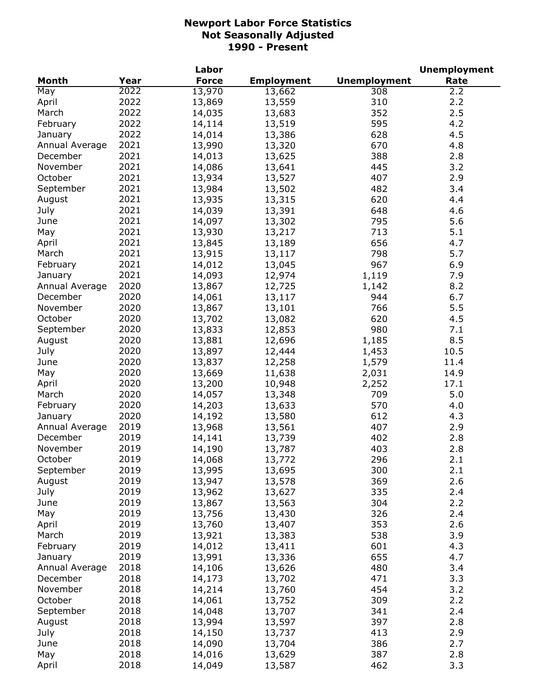|                |      | Labor        |                   |                     | <b>Unemployment</b> |
|----------------|------|--------------|-------------------|---------------------|---------------------|
| <b>Month</b>   | Year | <b>Force</b> | <b>Employment</b> | <b>Unemployment</b> | Rate                |
| May            | 2022 | 13,970       | 13,662            | 308                 | 2.2                 |
| April          | 2022 | 13,869       | 13,559            | 310                 | 2.2                 |
| March          | 2022 | 14,035       | 13,683            | 352                 | 2.5                 |
| February       | 2022 | 14,114       | 13,519            | 595                 | 4.2                 |
| January        | 2022 | 14,014       | 13,386            | 628                 | 4.5                 |
| Annual Average | 2021 | 13,990       | 13,320            | 670                 | 4.8                 |
| December       | 2021 | 14,013       | 13,625            | 388                 | 2.8                 |
| November       | 2021 | 14,086       | 13,641            | 445                 | 3.2                 |
| October        | 2021 | 13,934       | 13,527            | 407                 | 2.9                 |
| September      | 2021 | 13,984       | 13,502            | 482                 | 3.4                 |
| August         | 2021 | 13,935       | 13,315            | 620                 | 4.4                 |
| July           | 2021 | 14,039       | 13,391            | 648                 | 4.6                 |
| June           | 2021 | 14,097       | 13,302            | 795                 | 5.6                 |
| May            | 2021 | 13,930       | 13,217            | 713                 | 5.1                 |
|                | 2021 | 13,845       |                   | 656                 | 4.7                 |
| April          | 2021 |              | 13,189            |                     | 5.7                 |
| March          |      | 13,915       | 13,117            | 798                 |                     |
| February       | 2021 | 14,012       | 13,045            | 967                 | 6.9                 |
| January        | 2021 | 14,093       | 12,974            | 1,119               | 7.9                 |
| Annual Average | 2020 | 13,867       | 12,725            | 1,142               | 8.2                 |
| December       | 2020 | 14,061       | 13,117            | 944                 | 6.7                 |
| November       | 2020 | 13,867       | 13,101            | 766                 | 5.5                 |
| October        | 2020 | 13,702       | 13,082            | 620                 | 4.5                 |
| September      | 2020 | 13,833       | 12,853            | 980                 | 7.1                 |
| August         | 2020 | 13,881       | 12,696            | 1,185               | 8.5                 |
| July           | 2020 | 13,897       | 12,444            | 1,453               | 10.5                |
| June           | 2020 | 13,837       | 12,258            | 1,579               | 11.4                |
| May            | 2020 | 13,669       | 11,638            | 2,031               | 14.9                |
| April          | 2020 | 13,200       | 10,948            | 2,252               | 17.1                |
| March          | 2020 | 14,057       | 13,348            | 709                 | 5.0                 |
| February       | 2020 | 14,203       | 13,633            | 570                 | 4.0                 |
| January        | 2020 | 14,192       | 13,580            | 612                 | 4.3                 |
| Annual Average | 2019 | 13,968       | 13,561            | 407                 | 2.9                 |
| December       | 2019 | 14,141       | 13,739            | 402                 | 2.8                 |
| November       | 2019 | 14,190       | 13,787            | 403                 | 2.8                 |
| October        | 2019 | 14,068       | 13,772            | 296                 | 2.1                 |
| September      | 2019 | 13,995       | 13,695            | 300                 | 2.1                 |
| August         | 2019 | 13,947       | 13,578            | 369                 | 2.6                 |
| July           | 2019 | 13,962       | 13,627            | 335                 | 2.4                 |
| June           | 2019 | 13,867       | 13,563            | 304                 | 2.2                 |
| May            | 2019 | 13,756       | 13,430            | 326                 | 2.4                 |
| April          | 2019 | 13,760       | 13,407            | 353                 | 2.6                 |
| March          | 2019 | 13,921       | 13,383            | 538                 | 3.9                 |
| February       | 2019 | 14,012       | 13,411            | 601                 | 4.3                 |
| January        | 2019 | 13,991       | 13,336            | 655                 | 4.7                 |
| Annual Average | 2018 | 14,106       | 13,626            | 480                 | 3.4                 |
| December       | 2018 | 14,173       | 13,702            | 471                 | 3.3                 |
| November       | 2018 | 14,214       | 13,760            | 454                 | 3.2                 |
| October        | 2018 | 14,061       | 13,752            | 309                 | 2.2                 |
| September      | 2018 |              |                   | 341                 | 2.4                 |
|                | 2018 | 14,048       | 13,707            |                     |                     |
| August         |      | 13,994       | 13,597            | 397                 | 2.8                 |
| July           | 2018 | 14,150       | 13,737            | 413                 | 2.9                 |
| June           | 2018 | 14,090       | 13,704            | 386                 | 2.7                 |
| May            | 2018 | 14,016       | 13,629            | 387                 | 2.8                 |
| April          | 2018 | 14,049       | 13,587            | 462                 | 3.3                 |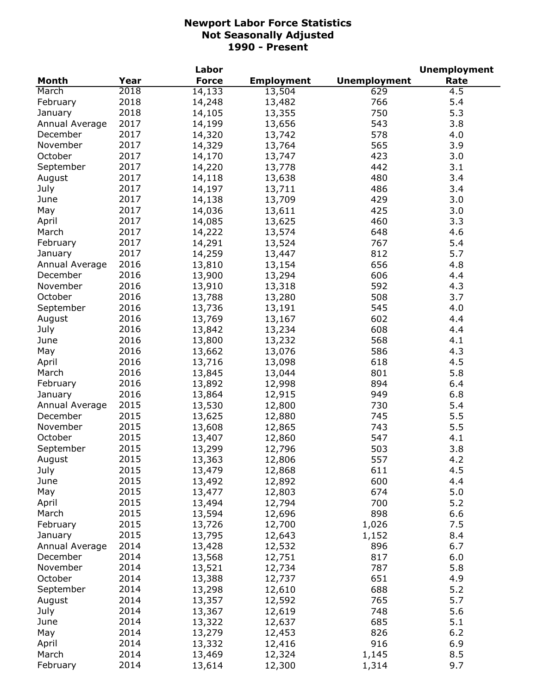|                |      | Labor        |                   |                     | <b>Unemployment</b> |
|----------------|------|--------------|-------------------|---------------------|---------------------|
| <b>Month</b>   | Year | <b>Force</b> | <b>Employment</b> | <b>Unemployment</b> | Rate                |
| March          | 2018 | 14,133       | 13,504            | 629                 | 4.5                 |
| February       | 2018 | 14,248       | 13,482            | 766                 | 5.4                 |
| January        | 2018 | 14,105       | 13,355            | 750                 | 5.3                 |
| Annual Average | 2017 | 14,199       | 13,656            | 543                 | 3.8                 |
| December       | 2017 | 14,320       | 13,742            | 578                 | 4.0                 |
| November       | 2017 | 14,329       | 13,764            | 565                 | 3.9                 |
| October        | 2017 | 14,170       | 13,747            | 423                 | 3.0                 |
| September      | 2017 | 14,220       | 13,778            | 442                 | 3.1                 |
| August         | 2017 | 14,118       | 13,638            | 480                 | 3.4                 |
| July           | 2017 | 14,197       | 13,711            | 486                 | 3.4                 |
| June           | 2017 | 14,138       | 13,709            | 429                 | 3.0                 |
| May            | 2017 | 14,036       | 13,611            | 425                 | 3.0                 |
| April          | 2017 | 14,085       | 13,625            | 460                 | 3.3                 |
|                | 2017 |              |                   | 648                 | 4.6                 |
| March          |      | 14,222       | 13,574            | 767                 | 5.4                 |
| February       | 2017 | 14,291       | 13,524            |                     |                     |
| January        | 2017 | 14,259       | 13,447            | 812                 | 5.7                 |
| Annual Average | 2016 | 13,810       | 13,154            | 656                 | 4.8                 |
| December       | 2016 | 13,900       | 13,294            | 606                 | 4.4                 |
| November       | 2016 | 13,910       | 13,318            | 592                 | 4.3                 |
| October        | 2016 | 13,788       | 13,280            | 508                 | 3.7                 |
| September      | 2016 | 13,736       | 13,191            | 545                 | 4.0                 |
| August         | 2016 | 13,769       | 13,167            | 602                 | 4.4                 |
| July           | 2016 | 13,842       | 13,234            | 608                 | 4.4                 |
| June           | 2016 | 13,800       | 13,232            | 568                 | 4.1                 |
| May            | 2016 | 13,662       | 13,076            | 586                 | 4.3                 |
| April          | 2016 | 13,716       | 13,098            | 618                 | 4.5                 |
| March          | 2016 | 13,845       | 13,044            | 801                 | 5.8                 |
| February       | 2016 | 13,892       | 12,998            | 894                 | 6.4                 |
| January        | 2016 | 13,864       | 12,915            | 949                 | 6.8                 |
| Annual Average | 2015 | 13,530       | 12,800            | 730                 | 5.4                 |
| December       | 2015 | 13,625       | 12,880            | 745                 | 5.5                 |
| November       | 2015 | 13,608       | 12,865            | 743                 | 5.5                 |
| October        | 2015 | 13,407       | 12,860            | 547                 | 4.1                 |
| September      | 2015 | 13,299       | 12,796            | 503                 | 3.8                 |
| August         | 2015 | 13,363       | 12,806            | 557                 | 4.2                 |
| July           | 2015 | 13,479       | 12,868            | 611                 | 4.5                 |
| June           | 2015 | 13,492       | 12,892            | 600                 | 4.4                 |
| May            | 2015 | 13,477       | 12,803            | 674                 | 5.0                 |
| April          | 2015 | 13,494       | 12,794            | 700                 | 5.2                 |
| March          | 2015 | 13,594       | 12,696            | 898                 | 6.6                 |
| February       | 2015 | 13,726       | 12,700            | 1,026               | 7.5                 |
| January        | 2015 | 13,795       | 12,643            | 1,152               | 8.4                 |
| Annual Average | 2014 | 13,428       | 12,532            | 896                 | 6.7                 |
| December       | 2014 | 13,568       |                   | 817                 | 6.0                 |
|                |      | 13,521       | 12,751            |                     |                     |
| November       | 2014 |              | 12,734            | 787                 | 5.8                 |
| October        | 2014 | 13,388       | 12,737            | 651                 | 4.9                 |
| September      | 2014 | 13,298       | 12,610            | 688                 | 5.2                 |
| August         | 2014 | 13,357       | 12,592            | 765                 | 5.7                 |
| July           | 2014 | 13,367       | 12,619            | 748                 | 5.6                 |
| June           | 2014 | 13,322       | 12,637            | 685                 | 5.1                 |
| May            | 2014 | 13,279       | 12,453            | 826                 | 6.2                 |
| April          | 2014 | 13,332       | 12,416            | 916                 | 6.9                 |
| March          | 2014 | 13,469       | 12,324            | 1,145               | 8.5                 |
| February       | 2014 | 13,614       | 12,300            | 1,314               | 9.7                 |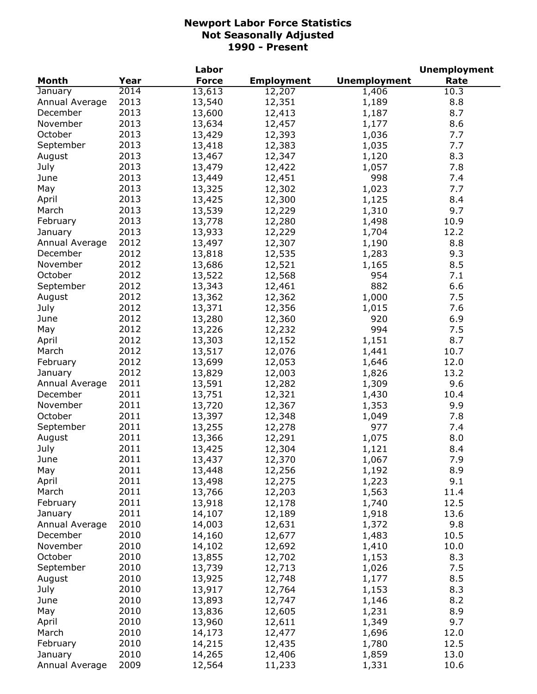|                |      | Labor        |                   |                     | <b>Unemployment</b> |
|----------------|------|--------------|-------------------|---------------------|---------------------|
| <b>Month</b>   | Year | <b>Force</b> | <b>Employment</b> | <b>Unemployment</b> | Rate                |
| January        | 2014 | 13,613       | 12,207            | 1,406               | 10.3                |
| Annual Average | 2013 | 13,540       | 12,351            | 1,189               | 8.8                 |
| December       | 2013 | 13,600       | 12,413            | 1,187               | 8.7                 |
| November       | 2013 | 13,634       | 12,457            | 1,177               | 8.6                 |
| October        | 2013 | 13,429       | 12,393            | 1,036               | 7.7                 |
| September      | 2013 | 13,418       | 12,383            | 1,035               | 7.7                 |
| August         | 2013 | 13,467       | 12,347            | 1,120               | 8.3                 |
| July           | 2013 | 13,479       | 12,422            | 1,057               | 7.8                 |
| June           | 2013 | 13,449       | 12,451            | 998                 | 7.4                 |
| May            | 2013 | 13,325       | 12,302            | 1,023               | 7.7                 |
| April          | 2013 | 13,425       | 12,300            | 1,125               | 8.4                 |
| March          | 2013 | 13,539       | 12,229            | 1,310               | 9.7                 |
|                | 2013 |              |                   |                     |                     |
| February       |      | 13,778       | 12,280            | 1,498               | 10.9                |
| January        | 2013 | 13,933       | 12,229            | 1,704               | 12.2                |
| Annual Average | 2012 | 13,497       | 12,307            | 1,190               | 8.8                 |
| December       | 2012 | 13,818       | 12,535            | 1,283               | 9.3                 |
| November       | 2012 | 13,686       | 12,521            | 1,165               | 8.5                 |
| October        | 2012 | 13,522       | 12,568            | 954                 | 7.1                 |
| September      | 2012 | 13,343       | 12,461            | 882                 | 6.6                 |
| August         | 2012 | 13,362       | 12,362            | 1,000               | 7.5                 |
| July           | 2012 | 13,371       | 12,356            | 1,015               | 7.6                 |
| June           | 2012 | 13,280       | 12,360            | 920                 | 6.9                 |
| May            | 2012 | 13,226       | 12,232            | 994                 | 7.5                 |
| April          | 2012 | 13,303       | 12,152            | 1,151               | 8.7                 |
| March          | 2012 | 13,517       | 12,076            | 1,441               | 10.7                |
| February       | 2012 | 13,699       | 12,053            | 1,646               | 12.0                |
| January        | 2012 | 13,829       | 12,003            | 1,826               | 13.2                |
| Annual Average | 2011 | 13,591       | 12,282            | 1,309               | 9.6                 |
| December       | 2011 | 13,751       | 12,321            | 1,430               | 10.4                |
| November       | 2011 | 13,720       | 12,367            | 1,353               | 9.9                 |
| October        | 2011 | 13,397       | 12,348            | 1,049               | 7.8                 |
| September      | 2011 | 13,255       | 12,278            | 977                 | 7.4                 |
| August         | 2011 | 13,366       | 12,291            | 1,075               | 8.0                 |
| July           | 2011 | 13,425       | 12,304            | 1,121               | 8.4                 |
| June           | 2011 | 13,437       | 12,370            | 1,067               | 7.9                 |
| May            | 2011 | 13,448       | 12,256            | 1,192               | 8.9                 |
| April          | 2011 | 13,498       | 12,275            | 1,223               | 9.1                 |
| March          | 2011 | 13,766       | 12,203            | 1,563               | 11.4                |
| February       | 2011 | 13,918       | 12,178            | 1,740               | 12.5                |
| January        | 2011 | 14,107       | 12,189            | 1,918               | 13.6                |
| Annual Average | 2010 | 14,003       | 12,631            | 1,372               | 9.8                 |
| December       | 2010 | 14,160       | 12,677            | 1,483               | 10.5                |
| November       | 2010 | 14,102       | 12,692            | 1,410               | 10.0                |
| October        | 2010 | 13,855       | 12,702            | 1,153               | 8.3                 |
|                | 2010 |              |                   |                     | 7.5                 |
| September      |      | 13,739       | 12,713            | 1,026               |                     |
| August         | 2010 | 13,925       | 12,748            | 1,177               | 8.5                 |
| July           | 2010 | 13,917       | 12,764            | 1,153               | 8.3                 |
| June           | 2010 | 13,893       | 12,747            | 1,146               | 8.2                 |
| May            | 2010 | 13,836       | 12,605            | 1,231               | 8.9                 |
| April          | 2010 | 13,960       | 12,611            | 1,349               | 9.7                 |
| March          | 2010 | 14,173       | 12,477            | 1,696               | 12.0                |
| February       | 2010 | 14,215       | 12,435            | 1,780               | 12.5                |
| January        | 2010 | 14,265       | 12,406            | 1,859               | 13.0                |
| Annual Average | 2009 | 12,564       | 11,233            | 1,331               | 10.6                |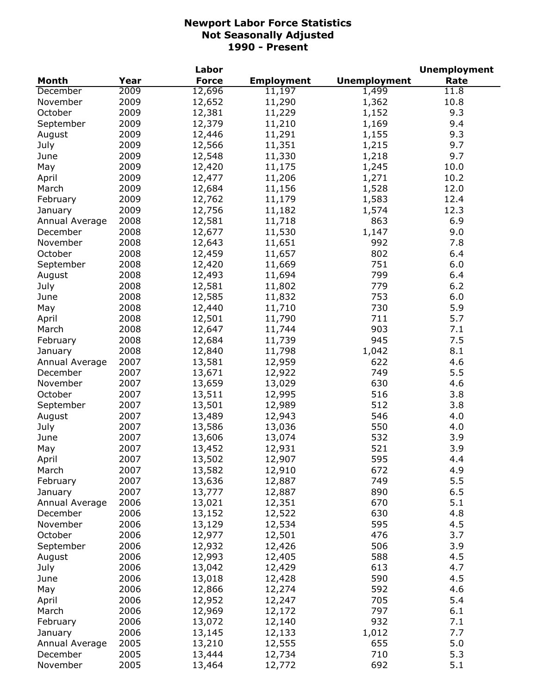|                |      | Labor        |                   |                     | <b>Unemployment</b> |
|----------------|------|--------------|-------------------|---------------------|---------------------|
| <b>Month</b>   | Year | <b>Force</b> | <b>Employment</b> | <b>Unemployment</b> | Rate                |
| December       | 2009 | 12,696       | 11,197            | 1,499               | 11.8                |
| November       | 2009 | 12,652       | 11,290            | 1,362               | 10.8                |
| October        | 2009 | 12,381       | 11,229            | 1,152               | 9.3                 |
| September      | 2009 | 12,379       | 11,210            | 1,169               | 9.4                 |
| August         | 2009 | 12,446       | 11,291            | 1,155               | 9.3                 |
| July           | 2009 | 12,566       | 11,351            | 1,215               | 9.7                 |
| June           | 2009 | 12,548       | 11,330            | 1,218               | 9.7                 |
| May            | 2009 | 12,420       | 11,175            | 1,245               | 10.0                |
| April          | 2009 | 12,477       | 11,206            | 1,271               | 10.2                |
| March          | 2009 | 12,684       | 11,156            | 1,528               | 12.0                |
| February       | 2009 | 12,762       | 11,179            | 1,583               | 12.4                |
| January        | 2009 | 12,756       | 11,182            | 1,574               | 12.3                |
| Annual Average | 2008 | 12,581       | 11,718            | 863                 | 6.9                 |
| December       | 2008 | 12,677       | 11,530            | 1,147               | 9.0                 |
| November       | 2008 | 12,643       | 11,651            | 992                 | 7.8                 |
| October        | 2008 | 12,459       | 11,657            | 802                 | 6.4                 |
| September      | 2008 | 12,420       | 11,669            | 751                 | 6.0                 |
| August         | 2008 | 12,493       | 11,694            | 799                 | 6.4                 |
| July           | 2008 | 12,581       | 11,802            | 779                 | 6.2                 |
| June           | 2008 | 12,585       | 11,832            | 753                 | 6.0                 |
| May            | 2008 | 12,440       | 11,710            | 730                 | 5.9                 |
| April          | 2008 | 12,501       | 11,790            | 711                 | 5.7                 |
| March          | 2008 | 12,647       | 11,744            | 903                 | 7.1                 |
| February       | 2008 | 12,684       | 11,739            | 945                 | 7.5                 |
| January        | 2008 | 12,840       | 11,798            | 1,042               | 8.1                 |
| Annual Average | 2007 | 13,581       | 12,959            | 622                 | 4.6                 |
| December       | 2007 | 13,671       | 12,922            | 749                 | 5.5                 |
| November       | 2007 | 13,659       | 13,029            | 630                 | 4.6                 |
| October        | 2007 | 13,511       | 12,995            | 516                 | 3.8                 |
| September      | 2007 | 13,501       | 12,989            | 512                 | 3.8                 |
| August         | 2007 | 13,489       | 12,943            | 546                 | 4.0                 |
| July           | 2007 | 13,586       | 13,036            | 550                 | 4.0                 |
| June           | 2007 | 13,606       | 13,074            | 532                 | 3.9                 |
| May            | 2007 | 13,452       | 12,931            | 521                 | 3.9                 |
| April          | 2007 | 13,502       | 12,907            | 595                 | 4.4                 |
| March          | 2007 | 13,582       | 12,910            | 672                 | 4.9                 |
| February       | 2007 | 13,636       | 12,887            | 749                 | 5.5                 |
| January        | 2007 | 13,777       | 12,887            | 890                 | 6.5                 |
| Annual Average | 2006 | 13,021       | 12,351            | 670                 | 5.1                 |
| December       | 2006 | 13,152       | 12,522            | 630                 | 4.8                 |
| November       | 2006 | 13,129       | 12,534            | 595                 | 4.5                 |
| October        | 2006 | 12,977       | 12,501            | 476                 | 3.7                 |
| September      | 2006 | 12,932       | 12,426            | 506                 | 3.9                 |
| August         | 2006 | 12,993       | 12,405            | 588                 | 4.5                 |
| July           | 2006 | 13,042       | 12,429            | 613                 | 4.7                 |
| June           | 2006 | 13,018       | 12,428            | 590                 | 4.5                 |
| May            | 2006 | 12,866       | 12,274            | 592                 | 4.6                 |
| April          | 2006 | 12,952       | 12,247            | 705                 | 5.4                 |
| March          | 2006 | 12,969       | 12,172            | 797                 | 6.1                 |
| February       | 2006 | 13,072       | 12,140            | 932                 | 7.1                 |
| January        | 2006 | 13,145       | 12,133            | 1,012               | 7.7                 |
| Annual Average | 2005 | 13,210       | 12,555            | 655                 | 5.0                 |
| December       | 2005 | 13,444       | 12,734            | 710                 | 5.3                 |
| November       | 2005 | 13,464       | 12,772            | 692                 | 5.1                 |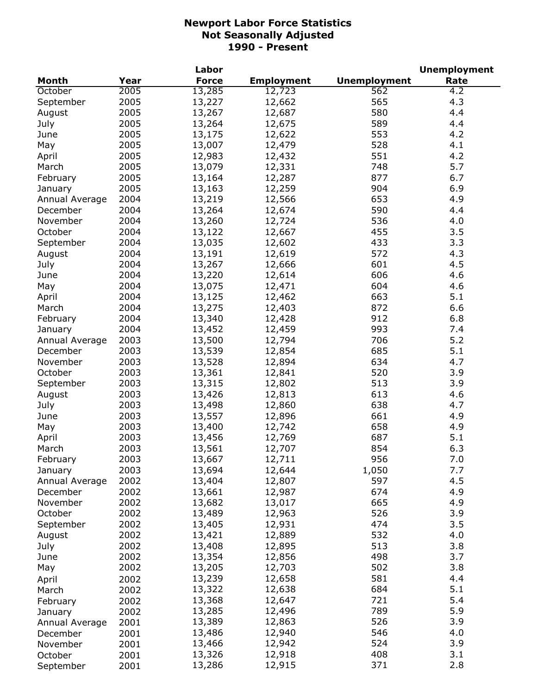|                |              | Labor        |                   |                     | <b>Unemployment</b> |
|----------------|--------------|--------------|-------------------|---------------------|---------------------|
| <b>Month</b>   | Year         | <b>Force</b> | <b>Employment</b> | <b>Unemployment</b> | Rate                |
| October        | 2005         | 13,285       | 12,723            | 562                 | 4.2                 |
| September      | 2005         | 13,227       | 12,662            | 565                 | 4.3                 |
| August         | 2005         | 13,267       | 12,687            | 580                 | 4.4                 |
| July           | 2005         | 13,264       | 12,675            | 589                 | 4.4                 |
| June           | 2005         | 13,175       | 12,622            | 553                 | 4.2                 |
| May            | 2005         | 13,007       | 12,479            | 528                 | 4.1                 |
| April          | 2005         | 12,983       | 12,432            | 551                 | 4.2                 |
| March          | 2005         | 13,079       | 12,331            | 748                 | 5.7                 |
| February       | 2005         | 13,164       | 12,287            | 877                 | 6.7                 |
| January        | 2005         | 13,163       | 12,259            | 904                 | 6.9                 |
| Annual Average | 2004         | 13,219       | 12,566            | 653                 | 4.9                 |
| December       | 2004         | 13,264       | 12,674            | 590                 | 4.4                 |
| November       | 2004         | 13,260       | 12,724            | 536                 | 4.0                 |
| October        | 2004         | 13,122       | 12,667            | 455                 | 3.5                 |
| September      | 2004         | 13,035       | 12,602            | 433                 | 3.3                 |
| August         | 2004         | 13,191       | 12,619            | 572                 | 4.3                 |
| July           | 2004         | 13,267       | 12,666            | 601                 | 4.5                 |
| June           | 2004         | 13,220       | 12,614            | 606                 | 4.6                 |
|                | 2004         | 13,075       |                   | 604                 | 4.6                 |
| May            |              |              | 12,471            |                     |                     |
| April          | 2004<br>2004 | 13,125       | 12,462            | 663                 | 5.1                 |
| March          | 2004         | 13,275       | 12,403            | 872                 | 6.6                 |
| February       |              | 13,340       | 12,428            | 912                 | 6.8                 |
| January        | 2004         | 13,452       | 12,459            | 993                 | 7.4                 |
| Annual Average | 2003         | 13,500       | 12,794            | 706                 | 5.2                 |
| December       | 2003         | 13,539       | 12,854            | 685                 | 5.1                 |
| November       | 2003         | 13,528       | 12,894            | 634                 | 4.7                 |
| October        | 2003         | 13,361       | 12,841            | 520                 | 3.9                 |
| September      | 2003         | 13,315       | 12,802            | 513                 | 3.9                 |
| August         | 2003         | 13,426       | 12,813            | 613                 | 4.6                 |
| July           | 2003         | 13,498       | 12,860            | 638                 | 4.7                 |
| June           | 2003         | 13,557       | 12,896            | 661                 | 4.9                 |
| May            | 2003         | 13,400       | 12,742            | 658                 | 4.9                 |
| April          | 2003         | 13,456       | 12,769            | 687                 | 5.1                 |
| March          | 2003         | 13,561       | 12,707            | 854                 | 6.3                 |
| February       | 2003         | 13,667       | 12,711            | 956                 | 7.0                 |
| January        | 2003         | 13,694       | 12,644            | 1,050               | 7.7                 |
| Annual Average | 2002         | 13,404       | 12,807            | 597                 | 4.5                 |
| December       | 2002         | 13,661       | 12,987            | 674                 | 4.9                 |
| November       | 2002         | 13,682       | 13,017            | 665                 | 4.9                 |
| October        | 2002         | 13,489       | 12,963            | 526                 | 3.9                 |
| September      | 2002         | 13,405       | 12,931            | 474                 | 3.5                 |
| August         | 2002         | 13,421       | 12,889            | 532                 | 4.0                 |
| July           | 2002         | 13,408       | 12,895            | 513                 | 3.8                 |
| June           | 2002         | 13,354       | 12,856            | 498                 | 3.7                 |
| May            | 2002         | 13,205       | 12,703            | 502                 | 3.8                 |
| April          | 2002         | 13,239       | 12,658            | 581                 | 4.4                 |
| March          | 2002         | 13,322       | 12,638            | 684                 | 5.1                 |
| February       | 2002         | 13,368       | 12,647            | 721                 | 5.4                 |
| January        | 2002         | 13,285       | 12,496            | 789                 | 5.9                 |
| Annual Average | 2001         | 13,389       | 12,863            | 526                 | 3.9                 |
| December       | 2001         | 13,486       | 12,940            | 546                 | 4.0                 |
| November       | 2001         | 13,466       | 12,942            | 524                 | 3.9                 |
| October        | 2001         | 13,326       | 12,918            | 408                 | 3.1                 |
| September      | 2001         | 13,286       | 12,915            | 371                 | 2.8                 |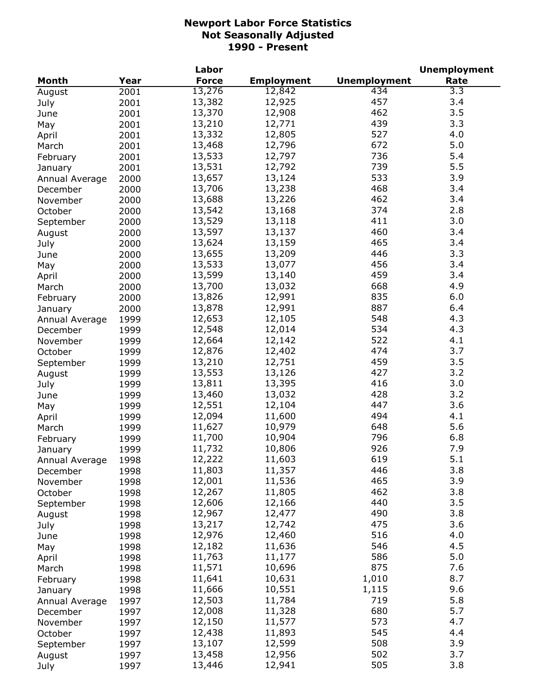|                |      | Labor        |                   |                     | <b>Unemployment</b> |
|----------------|------|--------------|-------------------|---------------------|---------------------|
| <b>Month</b>   | Year | <b>Force</b> | <b>Employment</b> | <b>Unemployment</b> | Rate                |
| August         | 2001 | 13,276       | 12,842            | 434                 | 3.3                 |
| July           | 2001 | 13,382       | 12,925            | 457                 | 3.4                 |
| June           | 2001 | 13,370       | 12,908            | 462                 | 3.5                 |
| May            | 2001 | 13,210       | 12,771            | 439                 | 3.3                 |
| April          | 2001 | 13,332       | 12,805            | 527                 | 4.0                 |
| March          | 2001 | 13,468       | 12,796            | 672                 | 5.0                 |
| February       | 2001 | 13,533       | 12,797            | 736                 | 5.4                 |
| January        | 2001 | 13,531       | 12,792            | 739                 | 5.5                 |
| Annual Average | 2000 | 13,657       | 13,124            | 533                 | 3.9                 |
| December       | 2000 | 13,706       | 13,238            | 468                 | 3.4                 |
|                | 2000 | 13,688       | 13,226            | 462                 | 3.4                 |
| November       |      | 13,542       | 13,168            | 374                 | 2.8                 |
| October        | 2000 | 13,529       | 13,118            | 411                 | 3.0                 |
| September      | 2000 |              |                   |                     |                     |
| August         | 2000 | 13,597       | 13,137            | 460                 | 3.4                 |
| July           | 2000 | 13,624       | 13,159            | 465                 | 3.4                 |
| June           | 2000 | 13,655       | 13,209            | 446                 | 3.3                 |
| May            | 2000 | 13,533       | 13,077            | 456                 | 3.4                 |
| April          | 2000 | 13,599       | 13,140            | 459                 | 3.4                 |
| March          | 2000 | 13,700       | 13,032            | 668                 | 4.9                 |
| February       | 2000 | 13,826       | 12,991            | 835                 | 6.0                 |
| January        | 2000 | 13,878       | 12,991            | 887                 | 6.4                 |
| Annual Average | 1999 | 12,653       | 12,105            | 548                 | 4.3                 |
| December       | 1999 | 12,548       | 12,014            | 534                 | 4.3                 |
| November       | 1999 | 12,664       | 12,142            | 522                 | 4.1                 |
| October        | 1999 | 12,876       | 12,402            | 474                 | 3.7                 |
| September      | 1999 | 13,210       | 12,751            | 459                 | 3.5                 |
| August         | 1999 | 13,553       | 13,126            | 427                 | 3.2                 |
| July           | 1999 | 13,811       | 13,395            | 416                 | 3.0                 |
| June           | 1999 | 13,460       | 13,032            | 428                 | 3.2                 |
| May            | 1999 | 12,551       | 12,104            | 447                 | 3.6                 |
| April          | 1999 | 12,094       | 11,600            | 494                 | 4.1                 |
| March          | 1999 | 11,627       | 10,979            | 648                 | 5.6                 |
| February       | 1999 | 11,700       | 10,904            | 796                 | 6.8                 |
| January        | 1999 | 11,732       | 10,806            | 926                 | 7.9                 |
| Annual Average | 1998 | 12,222       | 11,603            | 619                 | 5.1                 |
| December       | 1998 | 11,803       | 11,357            | 446                 | 3.8                 |
| November       | 1998 | 12,001       | 11,536            | 465                 | 3.9                 |
| October        | 1998 | 12,267       | 11,805            | 462                 | 3.8                 |
|                |      | 12,606       | 12,166            | 440                 | 3.5                 |
| September      | 1998 | 12,967       | 12,477            | 490                 | 3.8                 |
| August         | 1998 |              |                   | 475                 | 3.6                 |
| July           | 1998 | 13,217       | 12,742            |                     |                     |
| June           | 1998 | 12,976       | 12,460            | 516                 | 4.0                 |
| May            | 1998 | 12,182       | 11,636            | 546                 | 4.5                 |
| April          | 1998 | 11,763       | 11,177            | 586                 | 5.0                 |
| March          | 1998 | 11,571       | 10,696            | 875                 | 7.6                 |
| February       | 1998 | 11,641       | 10,631            | 1,010               | 8.7                 |
| January        | 1998 | 11,666       | 10,551            | 1,115               | 9.6                 |
| Annual Average | 1997 | 12,503       | 11,784            | 719                 | 5.8                 |
| December       | 1997 | 12,008       | 11,328            | 680                 | 5.7                 |
| November       | 1997 | 12,150       | 11,577            | 573                 | 4.7                 |
| October        | 1997 | 12,438       | 11,893            | 545                 | 4.4                 |
| September      | 1997 | 13,107       | 12,599            | 508                 | 3.9                 |
| August         | 1997 | 13,458       | 12,956            | 502                 | 3.7                 |
| July           | 1997 | 13,446       | 12,941            | 505                 | 3.8                 |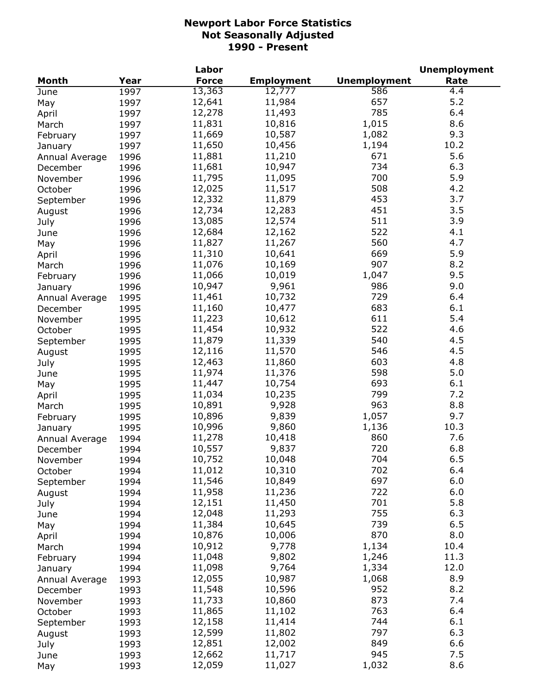|                |      | Labor        |                   |                     | <b>Unemployment</b> |
|----------------|------|--------------|-------------------|---------------------|---------------------|
| Month          | Year | <b>Force</b> | <b>Employment</b> | <b>Unemployment</b> | Rate                |
| June           | 1997 | 13,363       | 12,777            | 586                 | 4.4                 |
| May            | 1997 | 12,641       | 11,984            | 657                 | 5.2                 |
| April          | 1997 | 12,278       | 11,493            | 785                 | 6.4                 |
| March          | 1997 | 11,831       | 10,816            | 1,015               | 8.6                 |
| February       | 1997 | 11,669       | 10,587            | 1,082               | 9.3                 |
| January        | 1997 | 11,650       | 10,456            | 1,194               | 10.2                |
| Annual Average | 1996 | 11,881       | 11,210            | 671                 | 5.6                 |
| December       | 1996 | 11,681       | 10,947            | 734                 | 6.3                 |
| November       | 1996 | 11,795       | 11,095            | 700                 | 5.9                 |
| October        | 1996 | 12,025       | 11,517            | 508                 | 4.2                 |
| September      | 1996 | 12,332       | 11,879            | 453                 | 3.7                 |
| August         | 1996 | 12,734       | 12,283            | 451                 | 3.5                 |
| July           | 1996 | 13,085       | 12,574            | 511                 | 3.9                 |
| June           | 1996 | 12,684       | 12,162            | 522                 | 4.1                 |
| May            | 1996 | 11,827       | 11,267            | 560                 | 4.7                 |
|                | 1996 | 11,310       | 10,641            | 669                 | 5.9                 |
| April          |      | 11,076       | 10,169            | 907                 | 8.2                 |
| March          | 1996 | 11,066       | 10,019            | 1,047               | 9.5                 |
| February       | 1996 | 10,947       | 9,961             |                     | 9.0                 |
| January        | 1996 |              |                   | 986                 |                     |
| Annual Average | 1995 | 11,461       | 10,732            | 729                 | 6.4                 |
| December       | 1995 | 11,160       | 10,477            | 683                 | 6.1                 |
| November       | 1995 | 11,223       | 10,612            | 611                 | 5.4                 |
| October        | 1995 | 11,454       | 10,932            | 522                 | 4.6                 |
| September      | 1995 | 11,879       | 11,339            | 540                 | 4.5                 |
| August         | 1995 | 12,116       | 11,570            | 546                 | 4.5                 |
| July           | 1995 | 12,463       | 11,860            | 603                 | 4.8                 |
| June           | 1995 | 11,974       | 11,376            | 598                 | 5.0                 |
| May            | 1995 | 11,447       | 10,754            | 693                 | 6.1                 |
| April          | 1995 | 11,034       | 10,235            | 799                 | 7.2                 |
| March          | 1995 | 10,891       | 9,928             | 963                 | 8.8                 |
| February       | 1995 | 10,896       | 9,839             | 1,057               | 9.7                 |
| January        | 1995 | 10,996       | 9,860             | 1,136               | 10.3                |
| Annual Average | 1994 | 11,278       | 10,418            | 860                 | 7.6                 |
| December       | 1994 | 10,557       | 9,837             | 720                 | 6.8                 |
| November       | 1994 | 10,752       | 10,048            | 704                 | 6.5                 |
| October        | 1994 | 11,012       | 10,310            | 702                 | 6.4                 |
| September      | 1994 | 11,546       | 10,849            | 697                 | 6.0                 |
| August         | 1994 | 11,958       | 11,236            | 722                 | 6.0                 |
| July           | 1994 | 12,151       | 11,450            | 701                 | 5.8                 |
| June           | 1994 | 12,048       | 11,293            | 755                 | 6.3                 |
| May            | 1994 | 11,384       | 10,645            | 739                 | 6.5                 |
| April          | 1994 | 10,876       | 10,006            | 870                 | 8.0                 |
| March          | 1994 | 10,912       | 9,778             | 1,134               | 10.4                |
| February       | 1994 | 11,048       | 9,802             | 1,246               | 11.3                |
| January        | 1994 | 11,098       | 9,764             | 1,334               | 12.0                |
| Annual Average | 1993 | 12,055       | 10,987            | 1,068               | 8.9                 |
| December       | 1993 | 11,548       | 10,596            | 952                 | 8.2                 |
| November       | 1993 | 11,733       | 10,860            | 873                 | 7.4                 |
| October        | 1993 | 11,865       | 11,102            | 763                 | 6.4                 |
| September      | 1993 | 12,158       | 11,414            | 744                 | 6.1                 |
| August         | 1993 | 12,599       | 11,802            | 797                 | 6.3                 |
| July           | 1993 | 12,851       | 12,002            | 849                 | 6.6                 |
| June           | 1993 | 12,662       | 11,717            | 945                 | 7.5                 |
| May            | 1993 | 12,059       | 11,027            | 1,032               | 8.6                 |